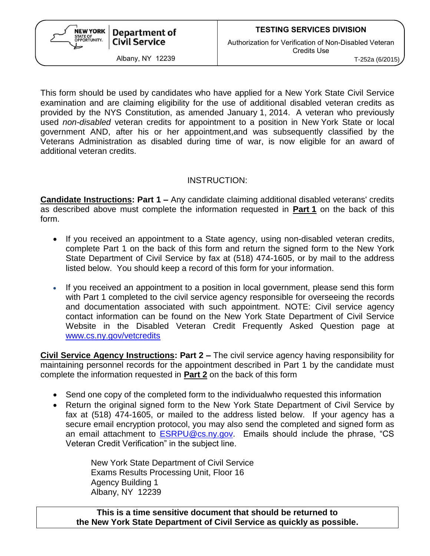

Albany, NY 12239 T-252a (6/2015)

This form should be used by candidates who have applied for a New York State Civil Service examination and are claiming eligibility for the use of additional disabled veteran credits as provided by the NYS Constitution, as amended January 1, 2014. A veteran who previously used *non-disabled* veteran credits for appointment to a position in New York State or local government AND, after his or her appointment,and was subsequently classified by the Veterans Administration as disabled during time of war, is now eligible for an award of additional veteran credits.

## INSTRUCTION:

**Candidate Instructions: Part 1 –** Any candidate claiming additional disabled veterans' credits as described above must complete the information requested in **Part 1** on the back of this form.

- If you received an appointment to a State agency, using non-disabled veteran credits, complete Part 1 on the back of this form and return the signed form to the New York State Department of Civil Service by fax at (518) 474-1605, or by mail to the address listed below. You should keep a record of this form for your information.
- If you received an appointment to a position in local government, please send this form with Part 1 completed to the civil service agency responsible for overseeing the records and documentation associated with such appointment. NOTE: Civil service agency contact information can be found on the New York State Department of Civil Service Website in the Disabled Veteran Credit Frequently Asked Question page at [www.cs.ny.gov/vetcredits](http://www.cs.ny.gov/vetcredits)

**Civil Service Agency Instructions: Part 2 –** The civil service agency having responsibility for maintaining personnel records for the appointment described in Part 1 by the candidate must complete the information requested in **Part 2** on the back of this form

- Send one copy of the completed form to the individualwho requested this information
- Return the original signed form to the New York State Department of Civil Service by fax at (518) 474-1605, or mailed to the address listed below. If your agency has a secure email encryption protocol, you may also send the completed and signed form as an email attachment to [ESRPU@cs.ny.gov.](mailto:ESRPU@cs.ny.gov) Emails should include the phrase, "CS Veteran Credit Verification" in the subject line.

New York State Department of Civil Service Exams Results Processing Unit, Floor 16 Agency Building 1 Albany, NY 12239

**This is a time sensitive document that should be returned to the New York State Department of Civil Service as quickly as possible.**